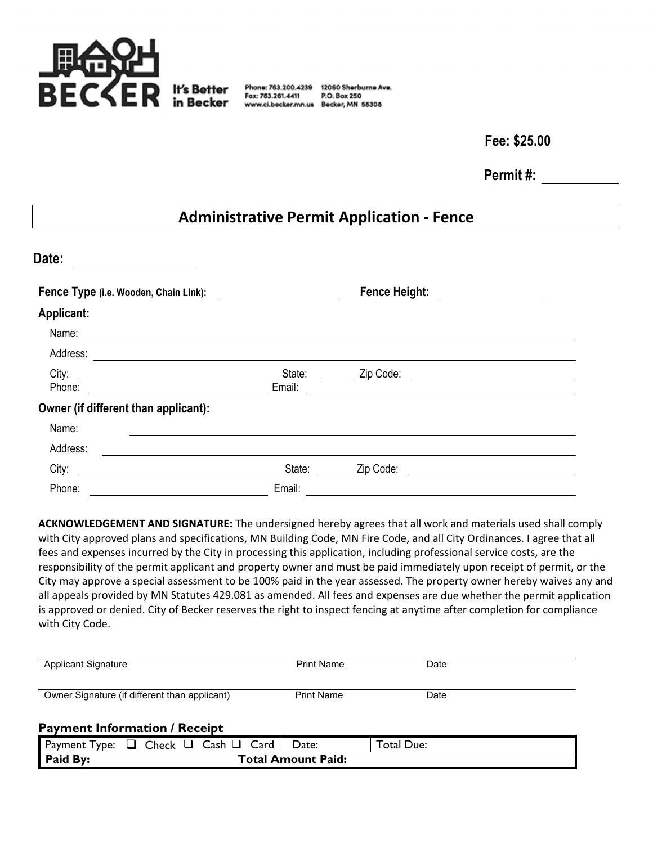

Fax: 763.261.4411

Phone: 763.200.4239 12060 Sherburne Ave. P.O. Box 250 www.ci.becker.mn.us Becker, MN 55308

**Fee: \$25.00** 

**Permit #:** 

# **Administrative Permit Application ‐ Fence**

| Date:                                 |                  |                      |  |
|---------------------------------------|------------------|----------------------|--|
| Fence Type (i.e. Wooden, Chain Link): |                  | <b>Fence Height:</b> |  |
| <b>Applicant:</b>                     |                  |                      |  |
| Name:                                 |                  |                      |  |
| Address:                              |                  |                      |  |
| City:<br>Phone:                       | State:<br>Email: | Zip Code:            |  |
| Owner (if different than applicant):  |                  |                      |  |
| Name:                                 |                  |                      |  |
| Address:                              |                  |                      |  |
| City:                                 | State:           | Zip Code:            |  |
| Phone:                                | Email:           |                      |  |

**ACKNOWLEDGEMENT AND SIGNATURE:** The undersigned hereby agrees that all work and materials used shall comply with City approved plans and specifications, MN Building Code, MN Fire Code, and all City Ordinances. I agree that all fees and expenses incurred by the City in processing this application, including professional service costs, are the responsibility of the permit applicant and property owner and must be paid immediately upon receipt of permit, or the City may approve a special assessment to be 100% paid in the year assessed. The property owner hereby waives any and all appeals provided by MN Statutes 429.081 as amended. All fees and expenses are due whether the permit application is approved or denied. City of Becker reserves the right to inspect fencing at anytime after completion for compliance with City Code.

| <b>Applicant Signature</b>                    | <b>Print Name</b> | Date |
|-----------------------------------------------|-------------------|------|
| Owner Signature (if different than applicant) | <b>Print Name</b> | Date |

### **Payment Information / Receipt**

| Payment<br>v <sub>De:</sub> | Card<br>Cash<br>_heck<br>ப | Date:                     | Due:<br>otal |
|-----------------------------|----------------------------|---------------------------|--------------|
| <b>Paid By:</b>             |                            | <b>Total Amount Paid:</b> |              |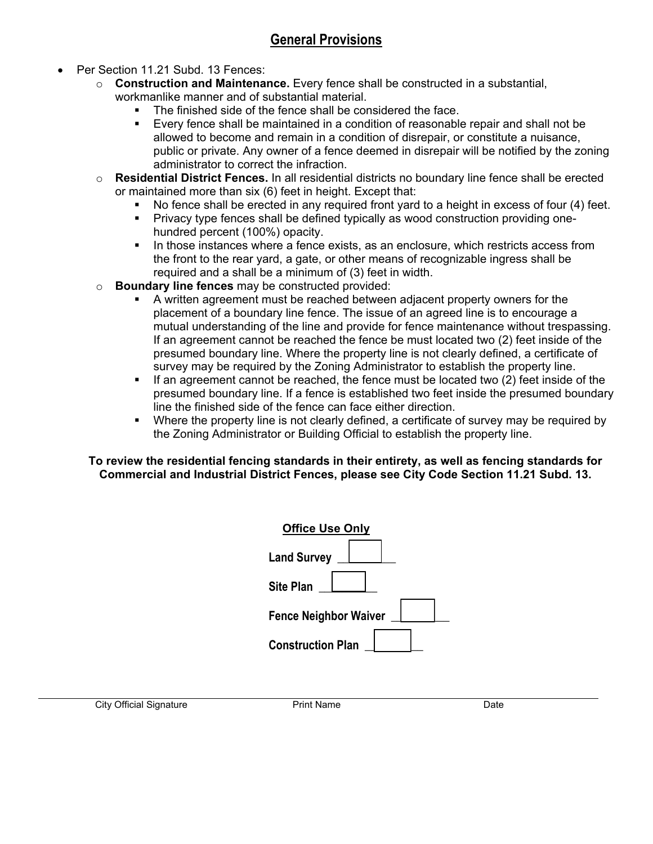# **General Provisions**

- Per Section 11.21 Subd. 13 Fences:
	- o **Construction and Maintenance.** Every fence shall be constructed in a substantial, workmanlike manner and of substantial material.
		- The finished side of the fence shall be considered the face.
		- Every fence shall be maintained in a condition of reasonable repair and shall not be allowed to become and remain in a condition of disrepair, or constitute a nuisance, public or private. Any owner of a fence deemed in disrepair will be notified by the zoning administrator to correct the infraction.
	- o **Residential District Fences.** In all residential districts no boundary line fence shall be erected or maintained more than six (6) feet in height. Except that:
		- No fence shall be erected in any required front yard to a height in excess of four (4) feet.
		- Privacy type fences shall be defined typically as wood construction providing onehundred percent (100%) opacity.
		- In those instances where a fence exists, as an enclosure, which restricts access from the front to the rear yard, a gate, or other means of recognizable ingress shall be required and a shall be a minimum of (3) feet in width.
	- o **Boundary line fences** may be constructed provided:
		- A written agreement must be reached between adjacent property owners for the placement of a boundary line fence. The issue of an agreed line is to encourage a mutual understanding of the line and provide for fence maintenance without trespassing. If an agreement cannot be reached the fence be must located two (2) feet inside of the presumed boundary line. Where the property line is not clearly defined, a certificate of survey may be required by the Zoning Administrator to establish the property line.
		- If an agreement cannot be reached, the fence must be located two (2) feet inside of the presumed boundary line. If a fence is established two feet inside the presumed boundary line the finished side of the fence can face either direction.
		- Where the property line is not clearly defined, a certificate of survey may be required by the Zoning Administrator or Building Official to establish the property line.

#### **To review the residential fencing standards in their entirety, as well as fencing standards for Commercial and Industrial District Fences, please see City Code Section 11.21 Subd. 13.**

| <b>Office Use Only</b>       |
|------------------------------|
| <b>Land Survey</b>           |
| <b>Site Plan</b>             |
| <b>Fence Neighbor Waiver</b> |
| <b>Construction Plan</b>     |